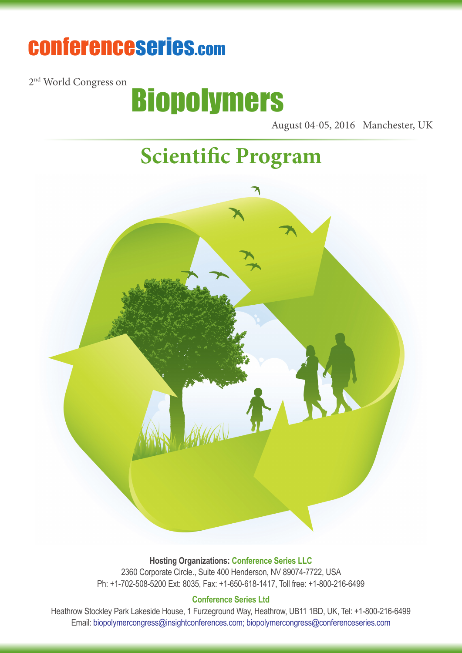# conferenceseries.com

2<sup>nd</sup> World Congress on



August 04-05, 2016 Manchester, UK

## **Scientific Program**



**Hosting Organizations: Conference Series LLC** 2360 Corporate Circle., Suite 400 Henderson, NV 89074-7722, USA Ph: +1-702-508-5200 Ext: 8035, Fax: +1-650-618-1417, Toll free: +1-800-216-6499

#### **Conference Series Ltd**

Heathrow Stockley Park Lakeside House, 1 Furzeground Way, Heathrow, UB11 1BD, UK, Tel: +1-800-216-6499 Email: biopolymercongress@insightconferences.com; biopolymercongress@conferenceseries.com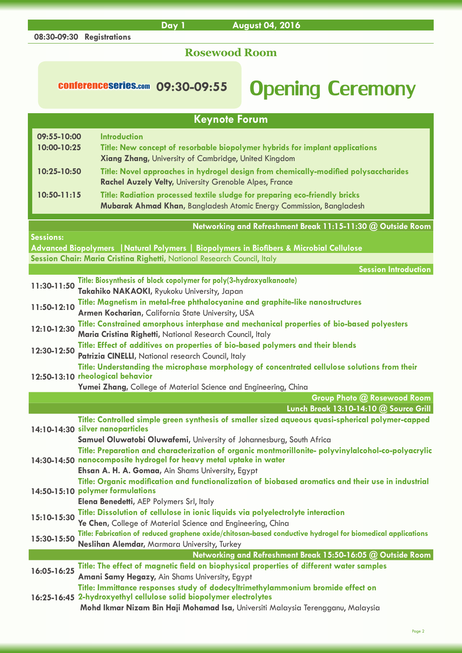## **Rosewood Room**

**Day 1 August 04, 2016**

**08:30-09:30 Registrations**

## conferenceseries.com 09:30-09:55 Opening Ceremony

|                            | <b>Keynote Forum</b>                                                                                                                                                                                                                              |
|----------------------------|---------------------------------------------------------------------------------------------------------------------------------------------------------------------------------------------------------------------------------------------------|
| 09:55-10:00<br>10:00-10:25 | <b>Introduction</b><br>Title: New concept of resorbable biopolymer hybrids for implant applications<br>Xiang Zhang, University of Cambridge, United Kingdom                                                                                       |
| 10:25-10:50                | Title: Novel approaches in hydrogel design from chemically-modified polysaccharides<br><b>Rachel Auzely Velty, University Grenoble Alpes, France</b>                                                                                              |
| $10:50 - 11:15$            | Title: Radiation processed textile sludge for preparing eco-friendly bricks<br>Mubarak Ahmad Khan, Bangladesh Atomic Energy Commission, Bangladesh                                                                                                |
| <b>Sessions:</b>           | Networking and Refreshment Break 11:15-11:30 @ Outside Room                                                                                                                                                                                       |
|                            | Advanced Biopolymers   Natural Polymers   Biopolymers in Biofibers & Microbial Cellulose<br>Session Chair: Maria Cristina Righetti, National Research Council, Italy                                                                              |
|                            | <b>Session Introduction</b>                                                                                                                                                                                                                       |
| 11:30-11:50                | Title: Biosynthesis of block copolymer for poly(3-hydroxyalkanoate)<br>Takahiko NAKAOKI, Ryukoku University, Japan                                                                                                                                |
| 11:50-12:10                | Title: Magnetism in metal-free phthalocyanine and graphite-like nanostructures<br>Armen Kocharian, California State University, USA                                                                                                               |
| 12:10-12:30                | Title: Constrained amorphous interphase and mechanical properties of bio-based polyesters<br>Maria Cristina Righetti, National Research Council, Italy                                                                                            |
| 12:30-12:50                | Title: Effect of additives on properties of bio-based polymers and their blends<br>Patrizia CINELLI, National research Council, Italy                                                                                                             |
|                            | Title: Understanding the microphase morphology of concentrated cellulose solutions from their<br>12:50-13:10 rheological behavior                                                                                                                 |
|                            | Yumei Zhang, College of Material Science and Engineering, China<br>Group Photo @ Rosewood Room                                                                                                                                                    |
|                            | Lunch Break 13:10-14:10 @ Source Grill                                                                                                                                                                                                            |
|                            | Title: Controlled simple green synthesis of smaller sized aqueous quasi-spherical polymer-capped<br>14:10-14:30 silver nanoparticles                                                                                                              |
|                            | Samuel Oluwatobi Oluwafemi, University of Johannesburg, South Africa<br>Title: Preparation and characterization of organic montmorillonite- polyvinylalcohol-co-polyacrylic<br>14:30-14:50 nanocomposite hydrogel for heavy metal uptake in water |
|                            | Ehsan A. H. A. Gomaa, Ain Shams University, Egypt<br>Title: Organic modification and functionalization of biobased aromatics and their use in industrial<br>14:50-15:10 polymer formulations<br>Elena Benedetti, AEP Polymers Srl, Italy          |
| 15:10-15:30                | Title: Dissolution of cellulose in ionic liquids via polyelectrolyte interaction<br>Ye Chen, College of Material Science and Engineering, China                                                                                                   |
| 15:30-15:50                | Title: Fabrication of reduced graphene oxide/chitosan-based conductive hydrogel for biomedical applications<br>Neslihan Alemdar, Marmara University, Turkey                                                                                       |
|                            | Networking and Refreshment Break 15:50-16:05 @ Outside Room                                                                                                                                                                                       |
| 16:05-16:25                | Title: The effect of magnetic field on biophysical properties of different water samples<br>Amani Samy Hegazy, Ain Shams University, Egypt                                                                                                        |
|                            | Title: Immittance responses study of dodecyltrimethylammonium bromide effect on<br>16:25-16:45 2-hydroxyethyl cellulose solid biopolymer electrolytes<br>Mohd Ikmar Nizam Bin Haji Mohamad Isa, Universiti Malaysia Terengganu, Malaysia          |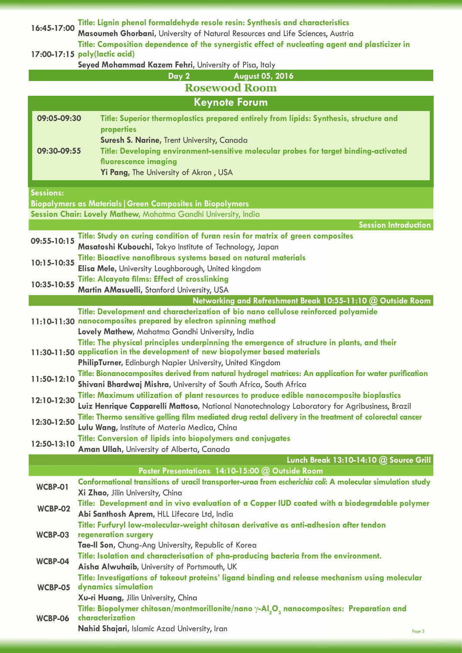| 16:45-17:00              | Title: Lignin phenol formaldehyde resole resin: Synthesis and characteristics                                                                                                              |  |
|--------------------------|--------------------------------------------------------------------------------------------------------------------------------------------------------------------------------------------|--|
|                          | Masoumeh Ghorbani, University of Natural Resources and Life Sciences, Austria<br>Title: Composition dependence of the synergistic effect of nucleating agent and plasticizer in            |  |
|                          | 17:00-17:15 poly(lactic acid)                                                                                                                                                              |  |
|                          | Seyed Mohammad Kazem Fehri, University of Pisa, Italy                                                                                                                                      |  |
| August 05, 2016<br>Day 2 |                                                                                                                                                                                            |  |
|                          | <b>Rosewood Room</b>                                                                                                                                                                       |  |
|                          | <b>Keynote Forum</b>                                                                                                                                                                       |  |
| 09:05-09:30              | Title: Superior thermoplastics prepared entirely from lipids: Synthesis, structure and                                                                                                     |  |
|                          | properties                                                                                                                                                                                 |  |
| 09:30-09:55              | Suresh S. Narine, Trent University, Canada<br>Title: Developing environment-sensitive molecular probes for target binding-activated                                                        |  |
|                          | fluorescence imaging                                                                                                                                                                       |  |
|                          | Yi Pang, The University of Akron, USA                                                                                                                                                      |  |
|                          |                                                                                                                                                                                            |  |
| <b>Sessions:</b>         |                                                                                                                                                                                            |  |
|                          | <b>Biopolymers as Materials   Green Composites in Biopolymers</b><br>Session Chair: Lovely Mathew, Mahatma Gandhi University, India                                                        |  |
|                          | <b>Session Introduction</b>                                                                                                                                                                |  |
| 09:55-10:15              | Title: Study on curing condition of furan resin for matrix of green composites                                                                                                             |  |
|                          | Masatoshi Kubouchi, Tokyo Institute of Technology, Japan                                                                                                                                   |  |
| 10:15-10:35              | Title: Bioactive nanofibrous systems based on natural materials                                                                                                                            |  |
|                          | Elisa Mele, University Loughborough, United kingdom                                                                                                                                        |  |
| 10:35-10:55              | <b>Title: Alcayota films: Effect of crosslinking</b><br>Martin AMasuelli, Stanford University, USA                                                                                         |  |
|                          | Networking and Refreshment Break 10:55-11:10 @ Outside Room                                                                                                                                |  |
|                          | Title: Development and characterization of bio nano cellulose reinforced polyamide                                                                                                         |  |
|                          | 11:10-11:30 nanocomposites prepared by electron spinning method                                                                                                                            |  |
|                          | Lovely Mathew, Mahatma Gandhi University, India<br>Title: The physical principles underpinning the emergence of structure in plants, and their                                             |  |
|                          | 11:30-11:50 application in the development of new biopolymer based materials                                                                                                               |  |
|                          | PhilipTurner, Edinburgh Napier University, United Kingdom                                                                                                                                  |  |
| 11:50-12:10              | Title: Bionanocomposites derived from natural hydrogel matrices: An application for water purification                                                                                     |  |
|                          | Shivani Bhardwaj Mishra, University of South Africa, South Africa                                                                                                                          |  |
| 12:10-12:30              | Title: Maximum utilization of plant resources to produce edible nanocomposite bioplastics<br>Luiz Henrique Capparelli Mattoso, National Nanotechnology Laboratory for Agribusiness, Brazil |  |
|                          | Title: Thermo sensitive gelling film mediated drug rectal delivery in the treatment of colorectal cancer                                                                                   |  |
| 12:30-12:50              | Lulu Wang, Institute of Materia Medica, China                                                                                                                                              |  |
| 12:50-13:10              | Title: Conversion of lipids into biopolymers and conjugates                                                                                                                                |  |
|                          | Aman Ullah, University of Alberta, Canada                                                                                                                                                  |  |
|                          | Lunch Break 13:10-14:10 @ Source Grill<br>Poster Presentations 14:10-15:00 @ Outside Room                                                                                                  |  |
|                          | Conformational transitions of uracil transporter-uraa from escherichia coli: A molecular simulation study                                                                                  |  |
| WCBP-01                  | Xi Zhao, Jilin University, China                                                                                                                                                           |  |
| <b>WCBP-02</b>           | Title: Development and in vivo evaluation of a Copper IUD coated with a biodegradable polymer                                                                                              |  |
|                          | Abi Santhosh Aprem, HLL Lifecare Ltd, India                                                                                                                                                |  |
| WCBP-03                  | Title: Furfuryl low-molecular-weight chitosan derivative as anti-adhesion after tendon<br>regeneration surgery                                                                             |  |
|                          | Tae-II Son, Chung-Ang University, Republic of Korea                                                                                                                                        |  |
| WCBP-04                  | Title: Isolation and characterisation of pha-producing bacteria from the environment.                                                                                                      |  |
|                          | Aisha Alwuhaib, University of Portsmouth, UK                                                                                                                                               |  |
|                          | Title: Investigations of takeout proteins' ligand binding and release mechanism using molecular                                                                                            |  |
| WCBP-05                  | dynamics simulation<br>Xu-ri Huang, Jilin University, China                                                                                                                                |  |
|                          | Title: Biopolymer chitosan/montmorillonite/nano $\gamma$ -Al <sub>2</sub> O <sub>3</sub> nanocomposites: Preparation and                                                                   |  |
| <b>WCBP-06</b>           | characterization                                                                                                                                                                           |  |
|                          | Nahid Shajari, Islamic Azad University, Iran<br>Page 3                                                                                                                                     |  |